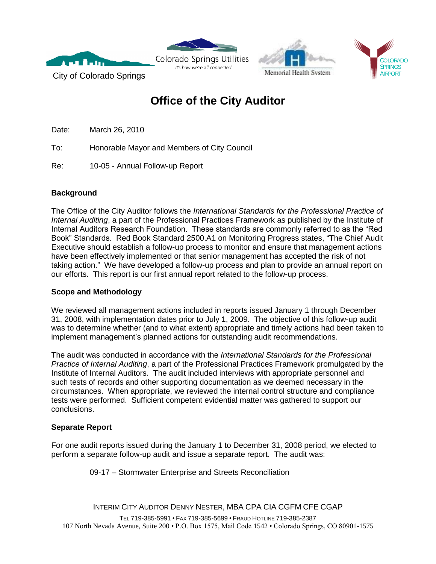





City of Colorado Springs

# **Office of the City Auditor**

It's how we're all connected

Date: March 26, 2010

To: Honorable Mayor and Members of City Council

Re: 10-05 - Annual Follow-up Report

## **Background**

The Office of the City Auditor follows the *International Standards for the Professional Practice of Internal Auditing*, a part of the Professional Practices Framework as published by the Institute of Internal Auditors Research Foundation. These standards are commonly referred to as the "Red Book" Standards. Red Book Standard 2500.A1 on Monitoring Progress states, "The Chief Audit Executive should establish a follow-up process to monitor and ensure that management actions have been effectively implemented or that senior management has accepted the risk of not taking action." We have developed a follow-up process and plan to provide an annual report on our efforts. This report is our first annual report related to the follow-up process.

#### **Scope and Methodology**

We reviewed all management actions included in reports issued January 1 through December 31, 2008, with implementation dates prior to July 1, 2009. The objective of this follow-up audit was to determine whether (and to what extent) appropriate and timely actions had been taken to implement management's planned actions for outstanding audit recommendations.

The audit was conducted in accordance with the *International Standards for the Professional Practice of Internal Auditing*, a part of the Professional Practices Framework promulgated by the Institute of Internal Auditors. The audit included interviews with appropriate personnel and such tests of records and other supporting documentation as we deemed necessary in the circumstances. When appropriate, we reviewed the internal control structure and compliance tests were performed. Sufficient competent evidential matter was gathered to support our conclusions.

## **Separate Report**

For one audit reports issued during the January 1 to December 31, 2008 period, we elected to perform a separate follow-up audit and issue a separate report. The audit was:

09-17 – Stormwater Enterprise and Streets Reconciliation

INTERIM CITY AUDITOR DENNY NESTER, MBA CPA CIA CGFM CFE CGAP

TEL 719-385-5991 • FAX 719-385-5699 • FRAUD HOTLINE 719-385-2387 107 North Nevada Avenue, Suite 200 • P.O. Box 1575, Mail Code 1542 • Colorado Springs, CO 80901-1575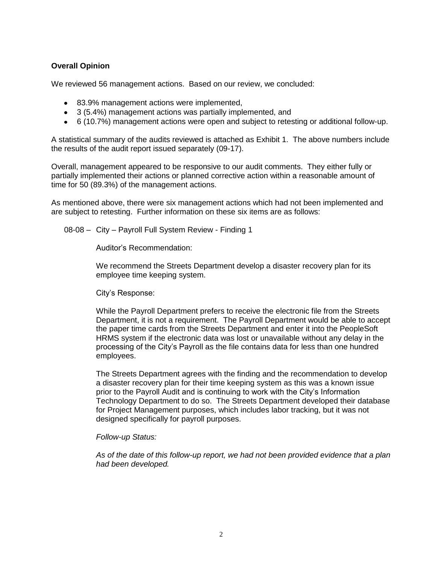#### **Overall Opinion**

We reviewed 56 management actions. Based on our review, we concluded:

- 83.9% management actions were implemented,
- 3 (5.4%) management actions was partially implemented, and
- 6 (10.7%) management actions were open and subject to retesting or additional follow-up.

A statistical summary of the audits reviewed is attached as Exhibit 1. The above numbers include the results of the audit report issued separately (09-17).

Overall, management appeared to be responsive to our audit comments. They either fully or partially implemented their actions or planned corrective action within a reasonable amount of time for 50 (89.3%) of the management actions.

As mentioned above, there were six management actions which had not been implemented and are subject to retesting. Further information on these six items are as follows:

08-08 – City – Payroll Full System Review - Finding 1

Auditor's Recommendation:

We recommend the Streets Department develop a disaster recovery plan for its employee time keeping system.

City's Response:

While the Payroll Department prefers to receive the electronic file from the Streets Department, it is not a requirement. The Payroll Department would be able to accept the paper time cards from the Streets Department and enter it into the PeopleSoft HRMS system if the electronic data was lost or unavailable without any delay in the processing of the City's Payroll as the file contains data for less than one hundred employees.

The Streets Department agrees with the finding and the recommendation to develop a disaster recovery plan for their time keeping system as this was a known issue prior to the Payroll Audit and is continuing to work with the City's Information Technology Department to do so. The Streets Department developed their database for Project Management purposes, which includes labor tracking, but it was not designed specifically for payroll purposes.

#### *Follow-up Status:*

*As of the date of this follow-up report, we had not been provided evidence that a plan had been developed.*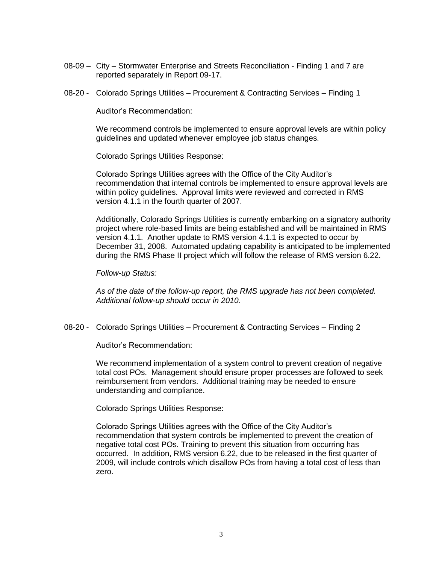- 08-09 City Stormwater Enterprise and Streets Reconciliation Finding 1 and 7 are reported separately in Report 09-17.
- 08-20 Colorado Springs Utilities Procurement & Contracting Services Finding 1

Auditor's Recommendation:

We recommend controls be implemented to ensure approval levels are within policy guidelines and updated whenever employee job status changes.

Colorado Springs Utilities Response:

Colorado Springs Utilities agrees with the Office of the City Auditor's recommendation that internal controls be implemented to ensure approval levels are within policy guidelines. Approval limits were reviewed and corrected in RMS version 4.1.1 in the fourth quarter of 2007.

Additionally, Colorado Springs Utilities is currently embarking on a signatory authority project where role-based limits are being established and will be maintained in RMS version 4.1.1. Another update to RMS version 4.1.1 is expected to occur by December 31, 2008. Automated updating capability is anticipated to be implemented during the RMS Phase II project which will follow the release of RMS version 6.22.

*Follow-up Status:*

*As of the date of the follow-up report, the RMS upgrade has not been completed. Additional follow-up should occur in 2010.*

08-20 - Colorado Springs Utilities – Procurement & Contracting Services – Finding 2

Auditor's Recommendation:

We recommend implementation of a system control to prevent creation of negative total cost POs. Management should ensure proper processes are followed to seek reimbursement from vendors. Additional training may be needed to ensure understanding and compliance.

Colorado Springs Utilities Response:

Colorado Springs Utilities agrees with the Office of the City Auditor's recommendation that system controls be implemented to prevent the creation of negative total cost POs. Training to prevent this situation from occurring has occurred. In addition, RMS version 6.22, due to be released in the first quarter of 2009, will include controls which disallow POs from having a total cost of less than zero.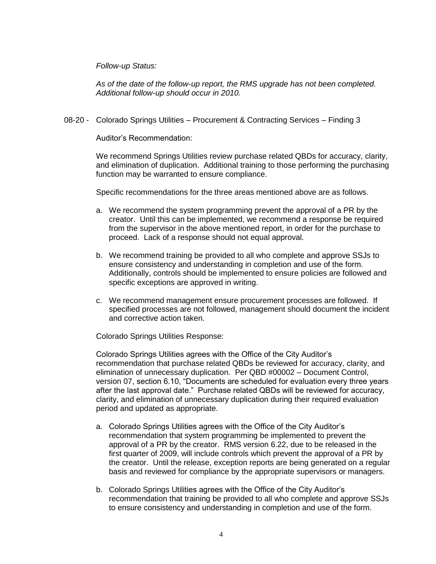*Follow-up Status:*

*As of the date of the follow-up report, the RMS upgrade has not been completed. Additional follow-up should occur in 2010.*

08-20 - Colorado Springs Utilities – Procurement & Contracting Services – Finding 3

Auditor's Recommendation:

We recommend Springs Utilities review purchase related QBDs for accuracy, clarity, and elimination of duplication. Additional training to those performing the purchasing function may be warranted to ensure compliance.

Specific recommendations for the three areas mentioned above are as follows.

- a. We recommend the system programming prevent the approval of a PR by the creator. Until this can be implemented, we recommend a response be required from the supervisor in the above mentioned report, in order for the purchase to proceed. Lack of a response should not equal approval.
- b. We recommend training be provided to all who complete and approve SSJs to ensure consistency and understanding in completion and use of the form. Additionally, controls should be implemented to ensure policies are followed and specific exceptions are approved in writing.
- c. We recommend management ensure procurement processes are followed. If specified processes are not followed, management should document the incident and corrective action taken.

Colorado Springs Utilities Response:

Colorado Springs Utilities agrees with the Office of the City Auditor's recommendation that purchase related QBDs be reviewed for accuracy, clarity, and elimination of unnecessary duplication. Per QBD #00002 – Document Control, version 07, section 6.10, "Documents are scheduled for evaluation every three years after the last approval date." Purchase related QBDs will be reviewed for accuracy, clarity, and elimination of unnecessary duplication during their required evaluation period and updated as appropriate.

- a. Colorado Springs Utilities agrees with the Office of the City Auditor's recommendation that system programming be implemented to prevent the approval of a PR by the creator. RMS version 6.22, due to be released in the first quarter of 2009, will include controls which prevent the approval of a PR by the creator. Until the release, exception reports are being generated on a regular basis and reviewed for compliance by the appropriate supervisors or managers.
- b. Colorado Springs Utilities agrees with the Office of the City Auditor's recommendation that training be provided to all who complete and approve SSJs to ensure consistency and understanding in completion and use of the form.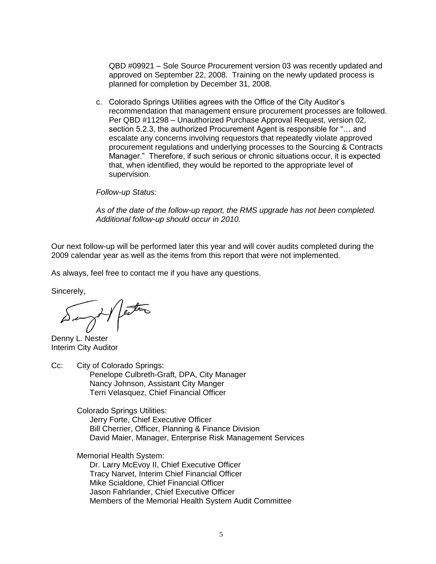QBD #09921 – Sole Source Procurement version 03 was recently updated and approved on September 22, 2008. Training on the newly updated process is planned for completion by December 31, 2008.

c. Colorado Springs Utilities agrees with the Office of the City Auditor's recommendation that management ensure procurement processes are followed. Per QBD #11298 – Unauthorized Purchase Approval Request, version 02, section 5.2.3, the authorized Procurement Agent is responsible for "… and escalate any concerns involving requestors that repeatedly violate approved procurement regulations and underlying processes to the Sourcing & Contracts Manager." Therefore, if such serious or chronic situations occur, it is expected that, when identified, they would be reported to the appropriate level of supervision.

*Follow-up Status:*

*As of the date of the follow-up report, the RMS upgrade has not been completed. Additional follow-up should occur in 2010.*

Our next follow-up will be performed later this year and will cover audits completed during the 2009 calendar year as well as the items from this report that were not implemented.

As always, feel free to contact me if you have any questions.

Sincerely,

anyt perton

Denny L. Nester Interim City Auditor

Cc: City of Colorado Springs: Penelope Culbreth-Graft, DPA, City Manager Nancy Johnson, Assistant City Manger Terri Velasquez, Chief Financial Officer

> Colorado Springs Utilities: Jerry Forte, Chief Executive Officer Bill Cherrier, Officer, Planning & Finance Division David Maier, Manager, Enterprise Risk Management Services

Memorial Health System:

Dr. Larry McEvoy II, Chief Executive Officer Tracy Narvet, Interim Chief Financial Officer Mike Scialdone, Chief Financial Officer Jason Fahrlander, Chief Executive Officer Members of the Memorial Health System Audit Committee